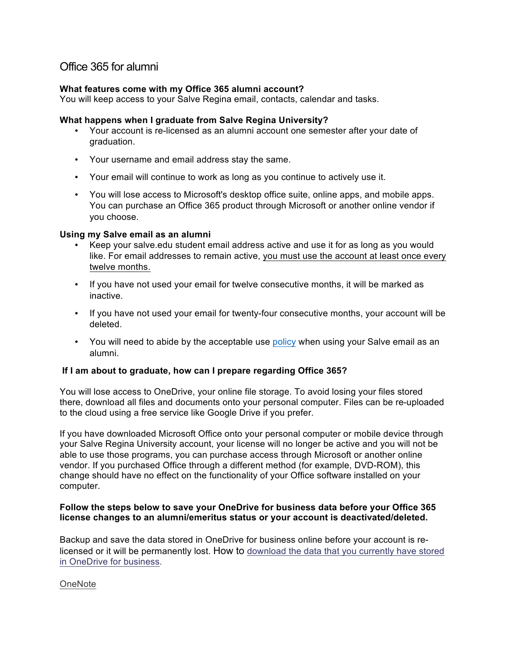# Office 365 for alumni

# **What features come with my Office 365 alumni account?**

You will keep access to your Salve Regina email, contacts, calendar and tasks.

## **What happens when I graduate from Salve Regina University?**

- Your account is re-licensed as an alumni account one semester after your date of graduation.
- Your username and email address stay the same.
- Your email will continue to work as long as you continue to actively use it.
- You will lose access to Microsoft's desktop office suite, online apps, and mobile apps. You can purchase an Office 365 product through Microsoft or another online vendor if you choose.

#### **Using my Salve email as an alumni**

- Keep your salve.edu student email address active and use it for as long as you would like. For email addresses to remain active, you must use the account at least once every twelve months.
- If you have not used your email for twelve consecutive months, it will be marked as inactive.
- If you have not used your email for twenty-four consecutive months, your account will be deleted.
- You will need to abide by the acceptable use [policy](http://www.salve.edu/information-technology/policies) when using your Salve email as an alumni.

#### **If I am about to graduate, how can I prepare regarding Office 365?**

You will lose access to OneDrive, your online file storage. To avoid losing your files stored there, download all files and documents onto your personal computer. Files can be re-uploaded to the cloud using a free service like Google Drive if you prefer.

If you have downloaded Microsoft Office onto your personal computer or mobile device through your Salve Regina University account, your license will no longer be active and you will not be able to use those programs, you can purchase access through Microsoft or another online vendor. If you purchased Office through a different method (for example, DVD-ROM), this change should have no effect on the functionality of your Office software installed on your computer.

## **Follow the steps below to save your OneDrive for business data before your Office 365 license changes to an alumni/emeritus status or your account is deactivated/deleted.**

Backup and save the data stored in OneDrive for business online before your account is relicensed or it will be permanently lost. How to [download the data that you currently have stored](https://support.office.com/en-us/article/Download-files-and-folders-from-OneDrive for Business-or-SharePoint-5c7397b7-19c7-4893-84fe-d02e8fa5df05)  [in OneDrive for business](https://support.office.com/en-us/article/Download-files-and-folders-from-OneDrive for Business-or-SharePoint-5c7397b7-19c7-4893-84fe-d02e8fa5df05).

#### **OneNote**